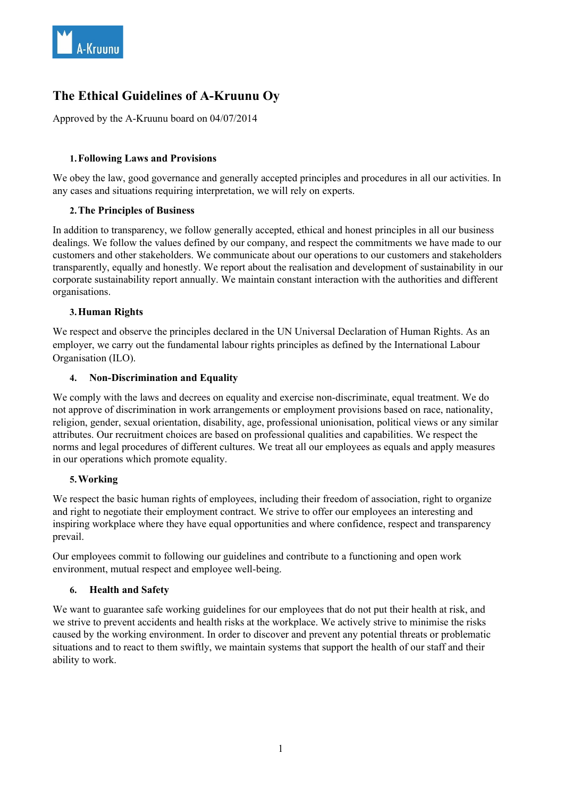

# **The Ethical Guidelines of A-Kruunu Oy**

Approved by the A-Kruunu board on 04/07/2014

# **1.Following Laws and Provisions**

We obey the law, good governance and generally accepted principles and procedures in all our activities. In any cases and situations requiring interpretation, we will rely on experts.

# **2.The Principles of Business**

In addition to transparency, we follow generally accepted, ethical and honest principles in all our business dealings. We follow the values defined by our company, and respect the commitments we have made to our customers and other stakeholders. We communicate about our operations to our customers and stakeholders transparently, equally and honestly. We report about the realisation and development of sustainability in our corporate sustainability report annually. We maintain constant interaction with the authorities and different organisations.

# **3.Human Rights**

We respect and observe the principles declared in the UN Universal Declaration of Human Rights. As an employer, we carry out the fundamental labour rights principles as defined by the International Labour Organisation (ILO).

## **4. Non-Discrimination and Equality**

We comply with the laws and decrees on equality and exercise non-discriminate, equal treatment. We do not approve of discrimination in work arrangements or employment provisions based on race, nationality, religion, gender, sexual orientation, disability, age, professional unionisation, political views or any similar attributes. Our recruitment choices are based on professional qualities and capabilities. We respect the norms and legal procedures of different cultures. We treat all our employees as equals and apply measures in our operations which promote equality.

## **5.Working**

We respect the basic human rights of employees, including their freedom of association, right to organize and right to negotiate their employment contract. We strive to offer our employees an interesting and inspiring workplace where they have equal opportunities and where confidence, respect and transparency prevail.

Our employees commit to following our guidelines and contribute to a functioning and open work environment, mutual respect and employee well-being.

## **6. Health and Safety**

We want to guarantee safe working guidelines for our employees that do not put their health at risk, and we strive to prevent accidents and health risks at the workplace. We actively strive to minimise the risks caused by the working environment. In order to discover and prevent any potential threats or problematic situations and to react to them swiftly, we maintain systems that support the health of our staff and their ability to work.